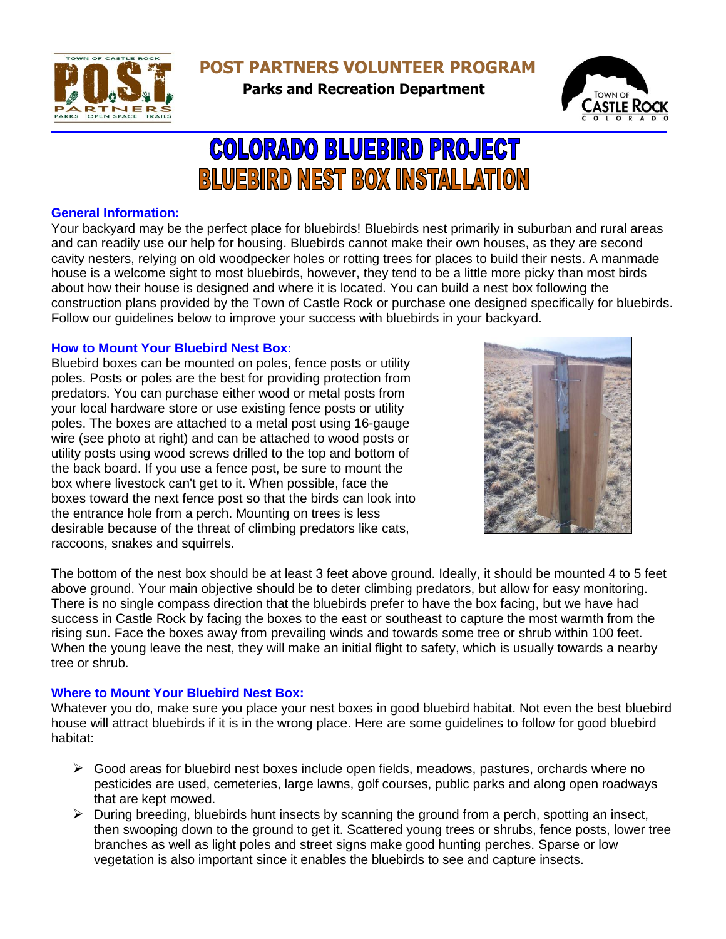

**POST PARTNERS VOLUNTEER PROGRAM** 

**Parks and Recreation Department**



# **COLORADO BLUEBIRD PROJECT BLUEBIRD NEST BOX INSTALLATION**

# **General Information:**

Your backyard may be the perfect place for bluebirds! Bluebirds nest primarily in suburban and rural areas and can readily use our help for housing. Bluebirds cannot make their own houses, as they are second cavity nesters, relying on old woodpecker holes or rotting trees for places to build their nests. A manmade house is a welcome sight to most bluebirds, however, they tend to be a little more picky than most birds about how their house is designed and where it is located. You can build a nest box following the construction plans provided by the Town of Castle Rock or purchase one designed specifically for bluebirds. Follow our guidelines below to improve your success with bluebirds in your backyard.

# **How to Mount Your Bluebird Nest Box:**

Bluebird boxes can be mounted on poles, fence posts or utility poles. Posts or poles are the best for providing protection from predators. You can purchase either wood or metal posts from your local hardware store or use existing fence posts or utility poles. The boxes are attached to a metal post using 16-gauge wire (see photo at right) and can be attached to wood posts or utility posts using wood screws drilled to the top and bottom of the back board. If you use a fence post, be sure to mount the box where livestock can't get to it. When possible, face the boxes toward the next fence post so that the birds can look into the entrance hole from a perch. Mounting on trees is less desirable because of the threat of climbing predators like cats, raccoons, snakes and squirrels.



The bottom of the nest box should be at least 3 feet above ground. Ideally, it should be mounted 4 to 5 feet above ground. Your main objective should be to deter climbing predators, but allow for easy monitoring. There is no single compass direction that the bluebirds prefer to have the box facing, but we have had success in Castle Rock by facing the boxes to the east or southeast to capture the most warmth from the rising sun. Face the boxes away from prevailing winds and towards some tree or shrub within 100 feet. When the young leave the nest, they will make an initial flight to safety, which is usually towards a nearby tree or shrub.

## **Where to Mount Your Bluebird Nest Box:**

Whatever you do, make sure you place your nest boxes in good bluebird habitat. Not even the best bluebird house will attract bluebirds if it is in the wrong place. Here are some guidelines to follow for good bluebird habitat:

- $\triangleright$  Good areas for bluebird nest boxes include open fields, meadows, pastures, orchards where no pesticides are used, cemeteries, large lawns, golf courses, public parks and along open roadways that are kept mowed.
- $\triangleright$  During breeding, bluebirds hunt insects by scanning the ground from a perch, spotting an insect, then swooping down to the ground to get it. Scattered young trees or shrubs, fence posts, lower tree branches as well as light poles and street signs make good hunting perches. Sparse or low vegetation is also important since it enables the bluebirds to see and capture insects.